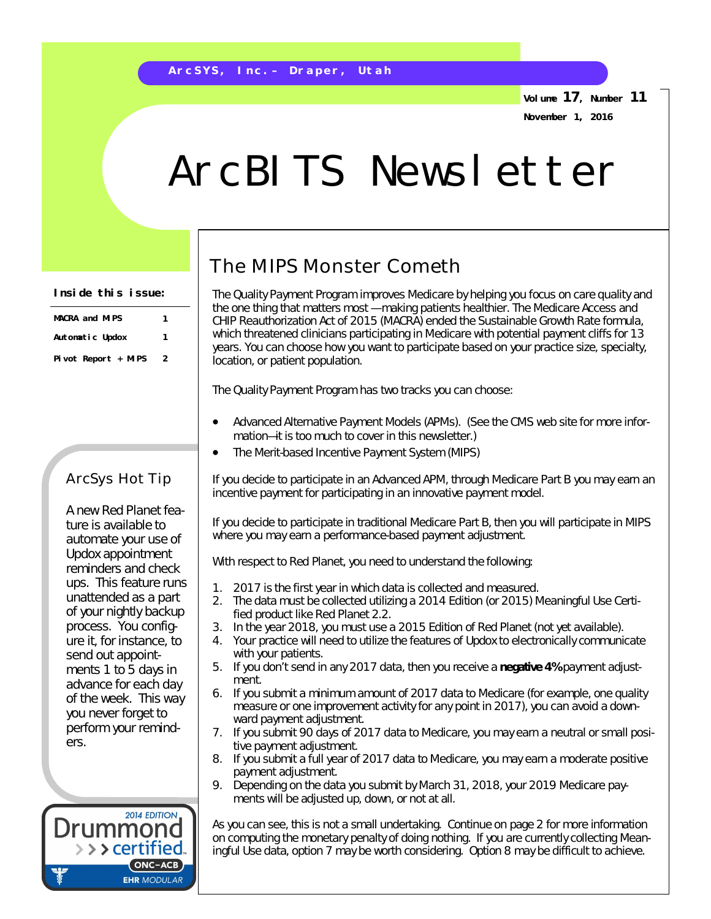**Volume 17, Number 11 November 1, 2016**

## ArcBITS Newsletter

| <b>MACRA</b> and MIPS | 1 |
|-----------------------|---|
| Automatic Updox       | 1 |
| Pivot Report $+$ MIPS | 2 |

## ArcSys Hot Tip

A new Red Planet feature is available to automate your use of Updox appointment reminders and check ups. This feature runs unattended as a part of your nightly backup process. You configure it, for instance, to send out appointments 1 to 5 days in advance for each day of the week. This way you never forget to perform your reminders.



## The MIPS Monster Cometh

The Quality Payment Program improves Medicare by helping you focus on care quality and the one thing that matters most — making patients healthier. The Medicare Access and CHIP Reauthorization Act of 2015 (MACRA) *ended* the Sustainable Growth Rate formula, which threatened clinicians participating in Medicare with potential payment cliffs for 13 years. You can choose how you want to participate based on your practice size, specialty, location, or patient population.

The Quality Payment Program has two tracks you can choose:

- Advanced Alternative Payment Models (APMs). (See the CMS web site for more information—it is too much to cover in this newsletter.)
- The Merit-based Incentive Payment System (MIPS)

If you decide to participate in an Advanced APM, through Medicare Part B you *may* earn an incentive payment for participating in an innovative payment model.

If you decide to participate in traditional Medicare Part B, then you will participate in MIPS where you *may* earn a performance-based payment adjustment.

With respect to Red Planet, you need to understand the following:

- 1. 2017 is the first year in which data is collected and measured.
- 2. The data must be collected utilizing a 2014 Edition (or 2015) Meaningful Use Certified product like Red Planet 2.2.
- 3. In the year 2018, you must use a 2015 Edition of Red Planet (not *yet* available).
- 4. Your practice will need to utilize the features of Updox to electronically communicate with your patients.
- 5. If you don't send in any 2017 data, then you receive a **negative 4%** payment adjustment.
- 6. If you submit a minimum amount of 2017 data to Medicare (for example, one quality measure or one improvement activity for any point in 2017), you *can avoid* a downward payment adjustment.
- 7. If you submit 90 days of 2017 data to Medicare, you may earn a *neutral or small* positive payment adjustment.
- 8. If you submit a full year of 2017 data to Medicare, you may earn a *moderate* positive payment adjustment.
- 9. Depending on the data you submit by March 31, 2018, your 2019 Medicare payments will be adjusted up, down, or not at all.

As you can see, this is not a small undertaking. Continue on page 2 for more information on computing the monetary penalty of doing nothing. If you are currently collecting Meaningful Use data, option 7 may be worth considering. Option 8 may be difficult to achieve.